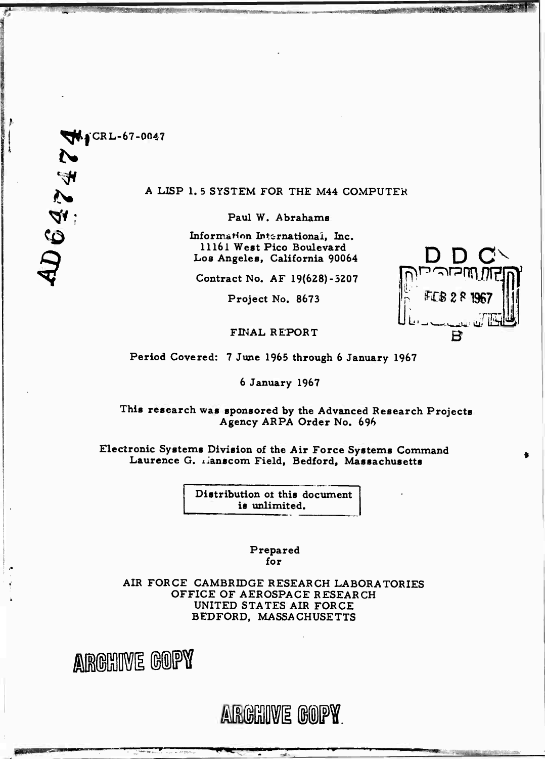

### **A LISP 1. 5 SYSTEM FOR THE M44 COMPUTER**

**Paul W. Abrahams**

**InformaHnn International, Inc. 11161 West Pico Boulevard Los Angeles, California 90064**

**Contract No. AF 19(628)-5207**

**D D CN**

 $\frac{1}{\sqrt{2}}$  if  $\frac{1}{\sqrt{2}}$ 

**Project No. 8673**

**FmAL REPORT** *B*

**Period Covered: 7 June 1965 through 6 January 1967**

**6 January 1967**

**This research was sponsored by the Advanced Research Projects Agency ARPA Order No. 696**

**Electronic Systems Division of the Air Force Systems Command Laurence G. xianscom Field, Bedford, Massachusetts**

> **Distribution ot this document is unlimited.**

> > **Prepared for**

**AIR FORCE CAMBRIDGE RESEARCH LABORATORIES OFFICE OF AEROSPACE RESEARCH UNITED STATES AIR FORCE BEDFORD, MASSACHUSETTS**



ARGHIVE GOPY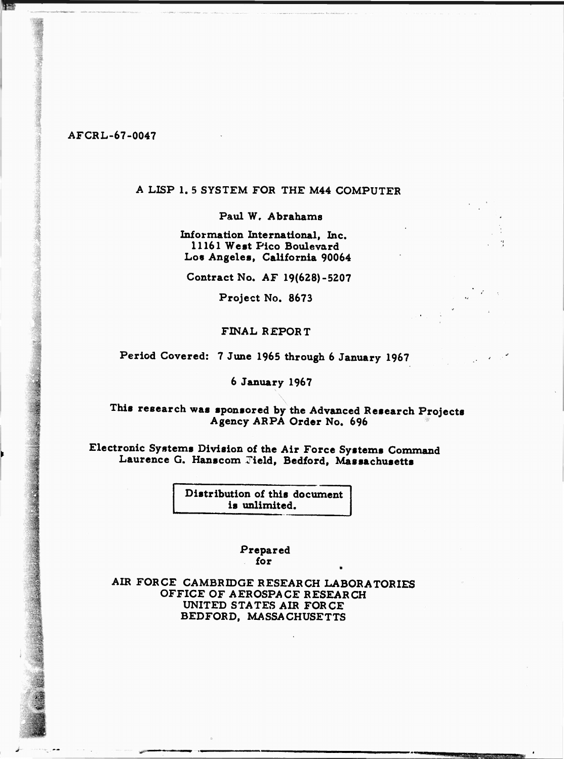### **A LISP 1. 5 SYSTEM FOR THE M44 COMPUTER**

**Paul W. Abrahams** *<sup>w</sup>*

**8 \* 1 Information International, Inc. | <sup>11161</sup> West Pico Boulevard Los Angeles, California 90064**

**Contract No. AF 19(628)-5207**

**Project No. 8673**

### **FINAL REPORT**

**Period Covered: 7 June 1965 through 6 January 1967**

#### **jj 6 January 1967**

# **This research was sponsored by the Advanced Research Projects Agency ARPA Order No. 696**

## **ii Electronic Systems Division of the Air Force Systems Command Laurence G. Hanscom rield, Bedford, Massachusetts**

**Distribution of this document is unlimited.**

> **Prepared for**

**AIR FORCE CAMBRIDGE RESEARCH LABORATORIES OFFICE OF AEROSPACE RESEARCH UNITED STATES AIR FORCE BEDFORD, MASSACHUSETTS**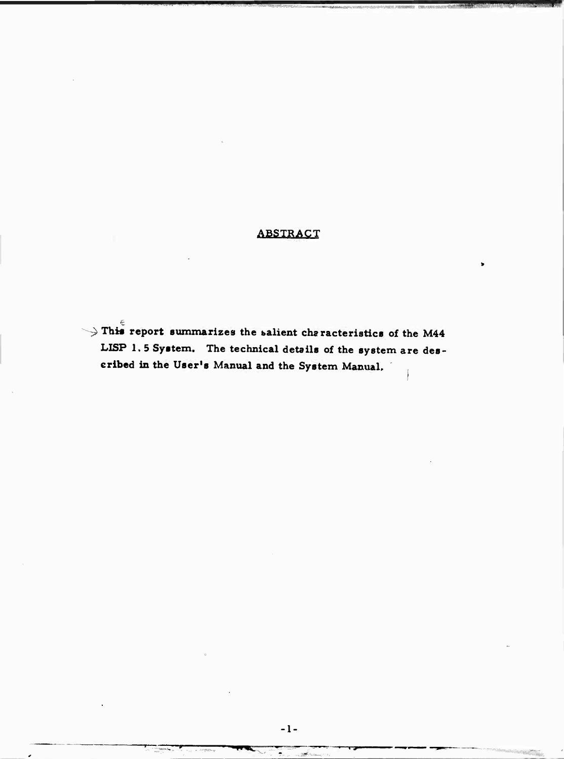# **ABSTRACT**

 $\rightarrow$  This report summarizes the salient characteristics of the M44 LISP 1.5 System. The technical details of the system are described in the User's Manual and the System Manual.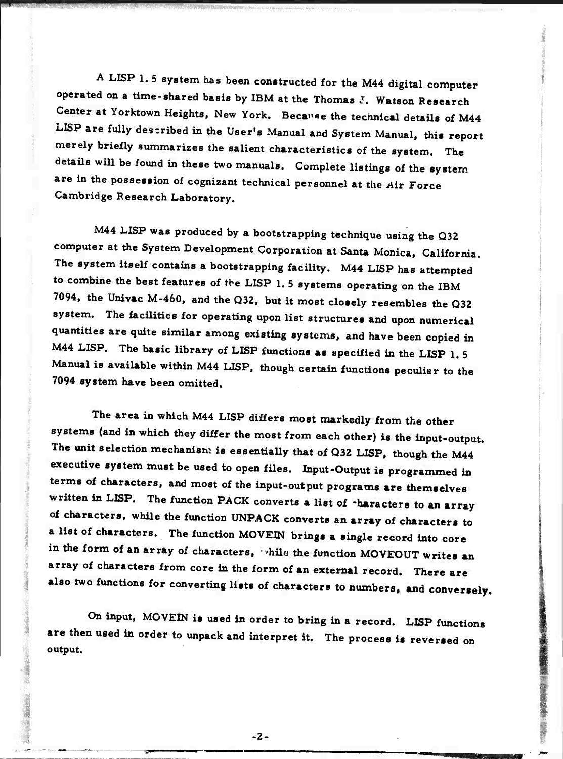**A LISP 1. <sup>5</sup> system has been constructed for the M44 digital computer operated on a time-shared basis by IBM at the Thomas J. Watson Research Center at Yorktown Heights, New York. Because the technical details of M44 LISP are fully described in the User's Manual and System Manual, this report merely briefly summarizes the salient characteristics of the system. The details will be found in these two manuals. Complete listings of the system are in the possession of cognizant technical personnel at the** *Air* **Force Cambridge Research Laboratory.**

**M44 LISP was produced by a bootstrapping technique using the Q32 computer at the System Development Corporation at Santa Monica, California. The system itself contains a bootstrapping facility. M44 LISP has attempted to combine the best features of** *the* **LISP 1. <sup>5</sup> systems operating on the IBM 7094, the Univac M-460, and the Q32, but it most closely resembles the Q32 system. The facilities for operating upon list structures and upon numerical quantities are quite similar among existing systems, and have been copied in M44 LISP. The basic library of LISP functions as specified in the LISP 1. 5 Manual is available within M44 LISP, though certain functions peculiar to the 7094 system have been omitted.**

**The area in which M44 LISP differs most markedly from the other systems (and in which they differ the most from each other) is the input-output. The unit selection mechanism is essentially that of Q32 LISP, though the M44 executive system must be used to open files. Input-Output is programmed in terms of characters, and most of the input-output programs are themselves written in LISP. The function PACK converts a list of characters to an array of characters, while the function UNPACK converts an array of characters to a list of characters. The function MOVEIN brings a single record into core in the form of an array of characters, ••»hue the function MOVEOUT writes an array of characters from core in the form of an external record. There are also two functions for converting lists of characters to numbers, and conversely.**

**On input, MOVEIN is used in order to bring in a record. LISP functions are then used in order to unpack and interpret it. The process is reversed on output.**

**2-**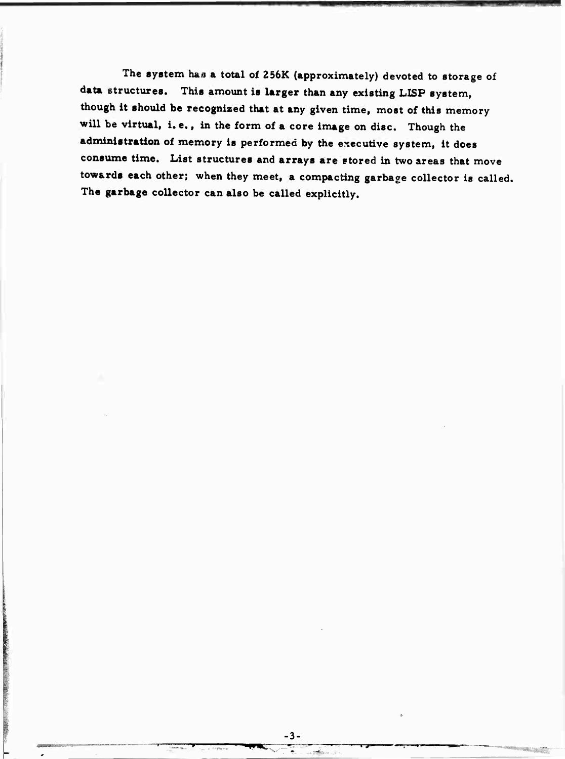**The system h&a a total of 256K (approximately) devoted to storage of data structures. This amount is larger than any existing LISP system, though it should be recognized that at any given time, most of this memory will be virtual, i. e., in the form of a core image on disc. Though the administration of memory is performed by the executive system, it does consume time. List structures and arrays are stored in two areas that move towards each other; when they meet, a compacting garbage collector is called. The garbage collector can also be called explicitly.**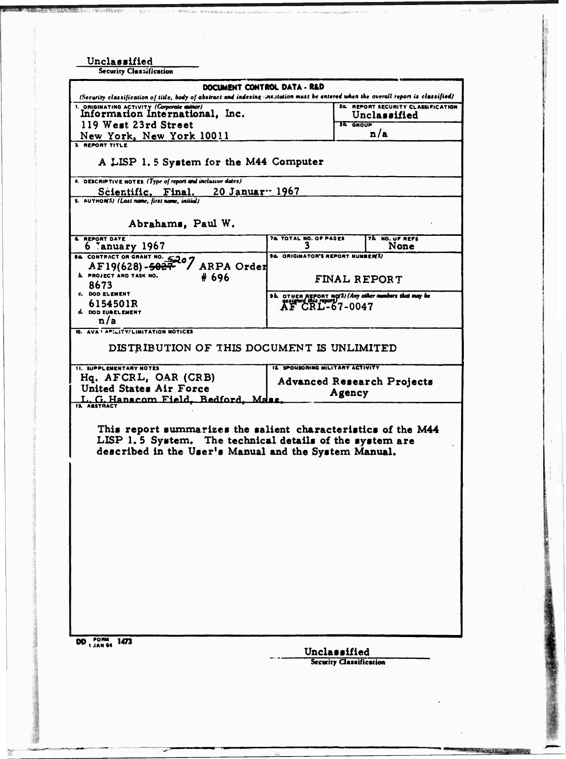| Unclassified<br><b>Security Classification</b>                                                                                                                                                           |                                                                                                |                 |                                                    |  |  |  |  |
|----------------------------------------------------------------------------------------------------------------------------------------------------------------------------------------------------------|------------------------------------------------------------------------------------------------|-----------------|----------------------------------------------------|--|--|--|--|
| DOCUMENT CONTROL DATA - R&D<br>(Security classification of title, body of abstract and indexing incutation must be entered when the overall report is classified)                                        |                                                                                                |                 |                                                    |  |  |  |  |
| 1. ORIGINATING ACTIVITY (Corporate author)<br>Information International, Inc.<br>119 West 23rd Street                                                                                                    |                                                                                                | <b>ZA GROUP</b> | 24. REPORT SECURITY CLASSIFICATION<br>Unclassified |  |  |  |  |
| New York, New York 10011<br>1 REPORT TITLE                                                                                                                                                               |                                                                                                |                 | n/a                                                |  |  |  |  |
| A LISP 1.5 System for the M44 Computer                                                                                                                                                                   |                                                                                                |                 |                                                    |  |  |  |  |
| 4. DESCRIPTIVE NOTES (Type of report and inclusive dates)<br>20 Januar <sup>1967</sup><br>Scientific. Final.<br>5. AUTHON'S) (Last name, first name, initial)                                            |                                                                                                |                 |                                                    |  |  |  |  |
| Abrahams, Paul W.                                                                                                                                                                                        |                                                                                                |                 |                                                    |  |  |  |  |
| <b>6. REPORT DATE</b><br>6 January 1967                                                                                                                                                                  | 74 TOTAL NO. OF PAGES                                                                          |                 | 70 NO. UF REFS<br>None                             |  |  |  |  |
| B& CONTRACT OR GRANT NO. 5207<br>ARPA Order<br>AF19(628)- <del>5027</del><br><b>A. PROJECT AND TASK NO.</b><br># 696                                                                                     | <b>94. ORIGINATOR'S REPORT NUMBER(S)</b><br><b>FINAL REPORT</b>                                |                 |                                                    |  |  |  |  |
| 8673<br>C. DOD ELEMENT<br>6154501R                                                                                                                                                                       | Sh OTHER REPORT NO(S) (Any other numbers that may be<br>sasting this report)<br>AF CRL-67-0047 |                 |                                                    |  |  |  |  |
| d. DOD SUBELEMENT<br>n/a<br>10. AVA · APILITY/LIMITATION NOTICES                                                                                                                                         |                                                                                                |                 |                                                    |  |  |  |  |
| DISTRIBUTION OF THIS DOCUMENT IS UNLIMITED                                                                                                                                                               |                                                                                                |                 |                                                    |  |  |  |  |
| <b>11. SUPPLEMENTARY NOTES</b><br>Hq. AFCRL, OAR (CRB)<br>United States Air Force<br>L. G. Hanscom Field, Bedford, Ma                                                                                    | <b>12 SPONSORING MILITARY ACTIVITY</b><br><b>Advanced Research Projects</b><br>Agency          |                 |                                                    |  |  |  |  |
| <b>IL ASSTRACT</b><br>This report summarizes the salient characteristics of the M44<br>LISP 1.5 System. The technical details of the system are<br>described in the User's Manual and the System Manual. |                                                                                                |                 |                                                    |  |  |  |  |
|                                                                                                                                                                                                          |                                                                                                |                 |                                                    |  |  |  |  |